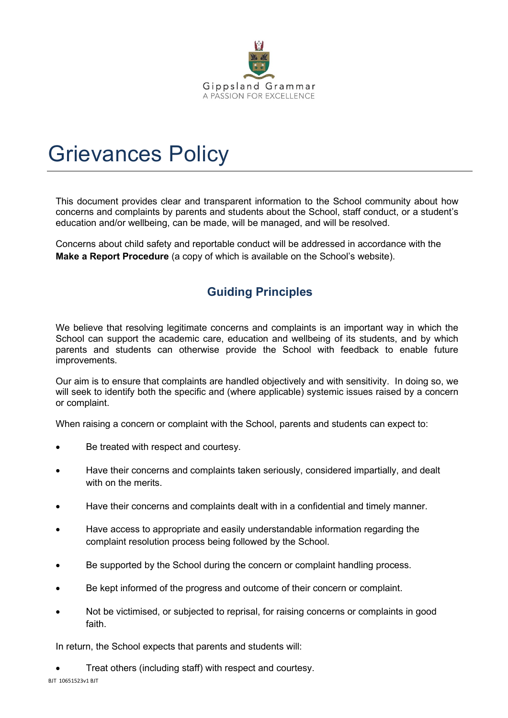

# Grievances Policy

This document provides clear and transparent information to the School community about how concerns and complaints by parents and students about the School, staff conduct, or a student's education and/or wellbeing, can be made, will be managed, and will be resolved.

Concerns about child safety and reportable conduct will be addressed in accordance with the **Make a Report Procedure** (a copy of which is available on the School's website).

# **Guiding Principles**

We believe that resolving legitimate concerns and complaints is an important way in which the School can support the academic care, education and wellbeing of its students, and by which parents and students can otherwise provide the School with feedback to enable future improvements.

Our aim is to ensure that complaints are handled objectively and with sensitivity. In doing so, we will seek to identify both the specific and (where applicable) systemic issues raised by a concern or complaint.

When raising a concern or complaint with the School, parents and students can expect to:

- Be treated with respect and courtesy.
- Have their concerns and complaints taken seriously, considered impartially, and dealt with on the merits.
- Have their concerns and complaints dealt with in a confidential and timely manner.
- Have access to appropriate and easily understandable information regarding the complaint resolution process being followed by the School.
- Be supported by the School during the concern or complaint handling process.
- Be kept informed of the progress and outcome of their concern or complaint.
- Not be victimised, or subjected to reprisal, for raising concerns or complaints in good faith.

In return, the School expects that parents and students will:

• Treat others (including staff) with respect and courtesy.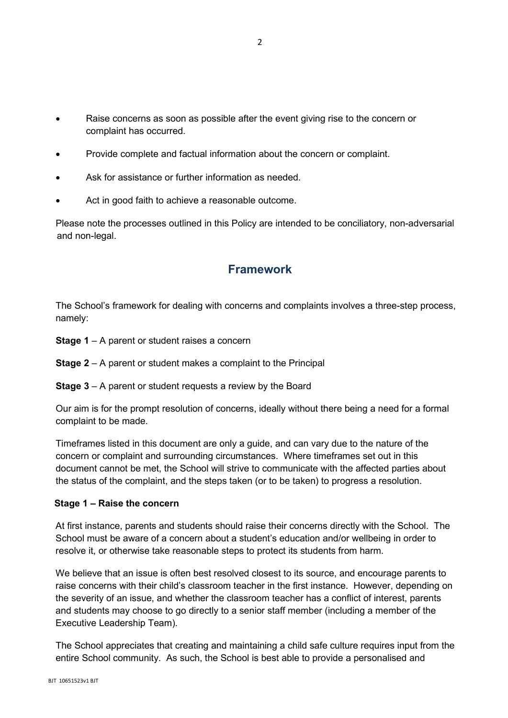- Raise concerns as soon as possible after the event giving rise to the concern or complaint has occurred.
- Provide complete and factual information about the concern or complaint.
- Ask for assistance or further information as needed.
- Act in good faith to achieve a reasonable outcome.

Please note the processes outlined in this Policy are intended to be conciliatory, non-adversarial and non-legal.

# **Framework**

The School's framework for dealing with concerns and complaints involves a three-step process, namely:

- **Stage 1** A parent or student raises a concern
- **Stage 2** A parent or student makes a complaint to the Principal
- **Stage 3** A parent or student requests a review by the Board

Our aim is for the prompt resolution of concerns, ideally without there being a need for a formal complaint to be made.

Timeframes listed in this document are only a guide, and can vary due to the nature of the concern or complaint and surrounding circumstances. Where timeframes set out in this document cannot be met, the School will strive to communicate with the affected parties about the status of the complaint, and the steps taken (or to be taken) to progress a resolution.

### **Stage 1 – Raise the concern**

At first instance, parents and students should raise their concerns directly with the School. The School must be aware of a concern about a student's education and/or wellbeing in order to resolve it, or otherwise take reasonable steps to protect its students from harm.

We believe that an issue is often best resolved closest to its source, and encourage parents to raise concerns with their child's classroom teacher in the first instance. However, depending on the severity of an issue, and whether the classroom teacher has a conflict of interest, parents and students may choose to go directly to a senior staff member (including a member of the Executive Leadership Team).

The School appreciates that creating and maintaining a child safe culture requires input from the entire School community. As such, the School is best able to provide a personalised and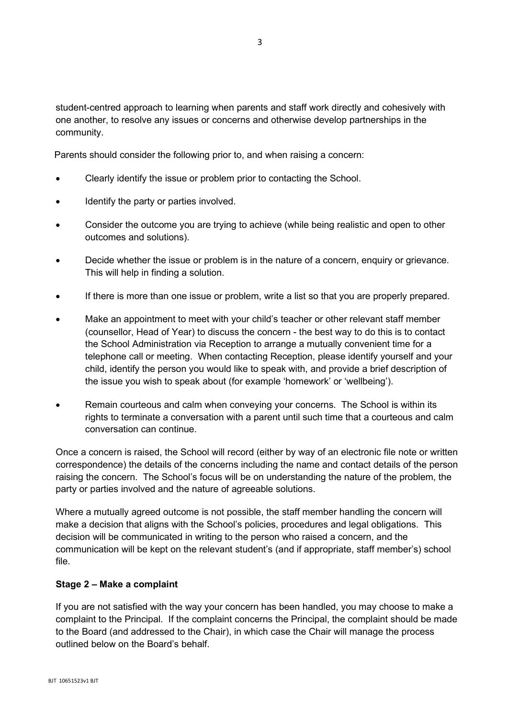student-centred approach to learning when parents and staff work directly and cohesively with one another, to resolve any issues or concerns and otherwise develop partnerships in the community.

Parents should consider the following prior to, and when raising a concern:

- Clearly identify the issue or problem prior to contacting the School.
- Identify the party or parties involved.
- Consider the outcome you are trying to achieve (while being realistic and open to other outcomes and solutions).
- Decide whether the issue or problem is in the nature of a concern, enquiry or grievance. This will help in finding a solution.
- If there is more than one issue or problem, write a list so that you are properly prepared.
- Make an appointment to meet with your child's teacher or other relevant staff member (counsellor, Head of Year) to discuss the concern - the best way to do this is to contact the School Administration via Reception to arrange a mutually convenient time for a telephone call or meeting. When contacting Reception, please identify yourself and your child, identify the person you would like to speak with, and provide a brief description of the issue you wish to speak about (for example 'homework' or 'wellbeing').
- Remain courteous and calm when conveying your concerns. The School is within its rights to terminate a conversation with a parent until such time that a courteous and calm conversation can continue.

Once a concern is raised, the School will record (either by way of an electronic file note or written correspondence) the details of the concerns including the name and contact details of the person raising the concern. The School's focus will be on understanding the nature of the problem, the party or parties involved and the nature of agreeable solutions.

Where a mutually agreed outcome is not possible, the staff member handling the concern will make a decision that aligns with the School's policies, procedures and legal obligations. This decision will be communicated in writing to the person who raised a concern, and the communication will be kept on the relevant student's (and if appropriate, staff member's) school file.

### **Stage 2 – Make a complaint**

If you are not satisfied with the way your concern has been handled, you may choose to make a complaint to the Principal. If the complaint concerns the Principal, the complaint should be made to the Board (and addressed to the Chair), in which case the Chair will manage the process outlined below on the Board's behalf.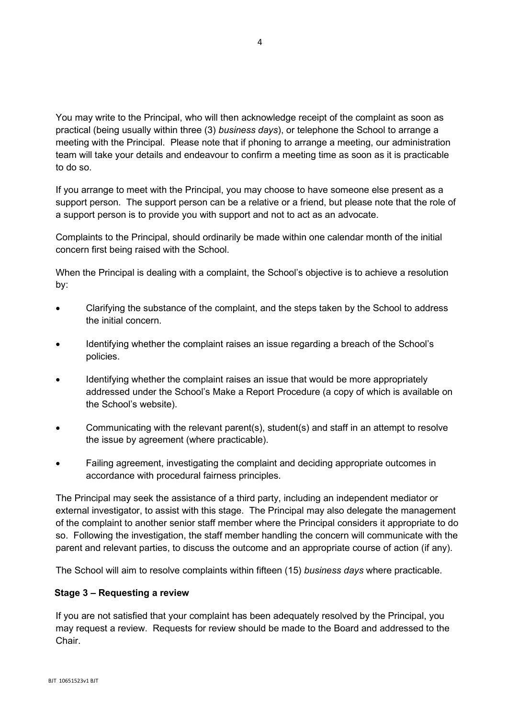You may write to the Principal, who will then acknowledge receipt of the complaint as soon as practical (being usually within three (3) *business days*), or telephone the School to arrange a meeting with the Principal. Please note that if phoning to arrange a meeting, our administration team will take your details and endeavour to confirm a meeting time as soon as it is practicable to do so.

If you arrange to meet with the Principal, you may choose to have someone else present as a support person. The support person can be a relative or a friend, but please note that the role of a support person is to provide you with support and not to act as an advocate.

Complaints to the Principal, should ordinarily be made within one calendar month of the initial concern first being raised with the School.

When the Principal is dealing with a complaint, the School's objective is to achieve a resolution by:

- Clarifying the substance of the complaint, and the steps taken by the School to address the initial concern.
- Identifying whether the complaint raises an issue regarding a breach of the School's policies.
- Identifying whether the complaint raises an issue that would be more appropriately addressed under the School's Make a Report Procedure (a copy of which is available on the School's website).
- Communicating with the relevant parent(s), student(s) and staff in an attempt to resolve the issue by agreement (where practicable).
- Failing agreement, investigating the complaint and deciding appropriate outcomes in accordance with procedural fairness principles.

The Principal may seek the assistance of a third party, including an independent mediator or external investigator, to assist with this stage. The Principal may also delegate the management of the complaint to another senior staff member where the Principal considers it appropriate to do so. Following the investigation, the staff member handling the concern will communicate with the parent and relevant parties, to discuss the outcome and an appropriate course of action (if any).

The School will aim to resolve complaints within fifteen (15) *business days* where practicable.

### **Stage 3 – Requesting a review**

If you are not satisfied that your complaint has been adequately resolved by the Principal, you may request a review. Requests for review should be made to the Board and addressed to the Chair.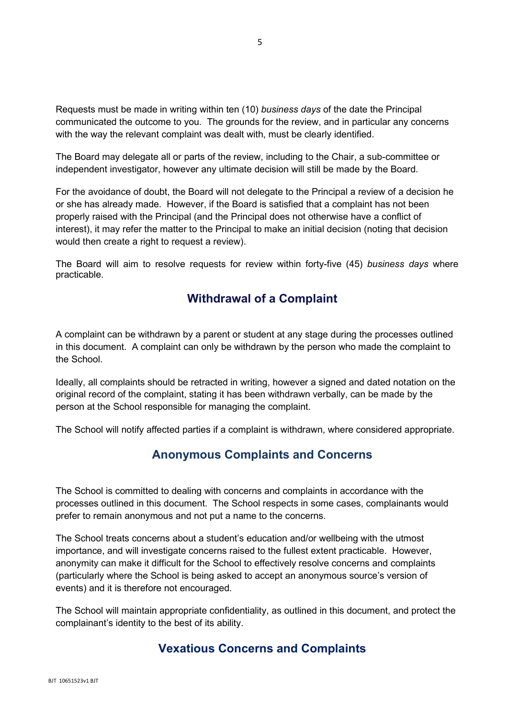Requests must be made in writing within ten (10) *business days* of the date the Principal communicated the outcome to you. The grounds for the review, and in particular any concerns with the way the relevant complaint was dealt with, must be clearly identified.

The Board may delegate all or parts of the review, including to the Chair, a sub-committee or independent investigator, however any ultimate decision will still be made by the Board.

For the avoidance of doubt, the Board will not delegate to the Principal a review of a decision he or she has already made. However, if the Board is satisfied that a complaint has not been properly raised with the Principal (and the Principal does not otherwise have a conflict of interest), it may refer the matter to the Principal to make an initial decision (noting that decision would then create a right to request a review).

The Board will aim to resolve requests for review within forty-five (45) *business days* where practicable.

# **Withdrawal of a Complaint**

A complaint can be withdrawn by a parent or student at any stage during the processes outlined in this document. A complaint can only be withdrawn by the person who made the complaint to the School.

Ideally, all complaints should be retracted in writing, however a signed and dated notation on the original record of the complaint, stating it has been withdrawn verbally, can be made by the person at the School responsible for managing the complaint.

The School will notify affected parties if a complaint is withdrawn, where considered appropriate.

# **Anonymous Complaints and Concerns**

The School is committed to dealing with concerns and complaints in accordance with the processes outlined in this document. The School respects in some cases, complainants would prefer to remain anonymous and not put a name to the concerns.

The School treats concerns about a student's education and/or wellbeing with the utmost importance, and will investigate concerns raised to the fullest extent practicable. However, anonymity can make it difficult for the School to effectively resolve concerns and complaints (particularly where the School is being asked to accept an anonymous source's version of events) and it is therefore not encouraged.

The School will maintain appropriate confidentiality, as outlined in this document, and protect the complainant's identity to the best of its ability.

## **Vexatious Concerns and Complaints**